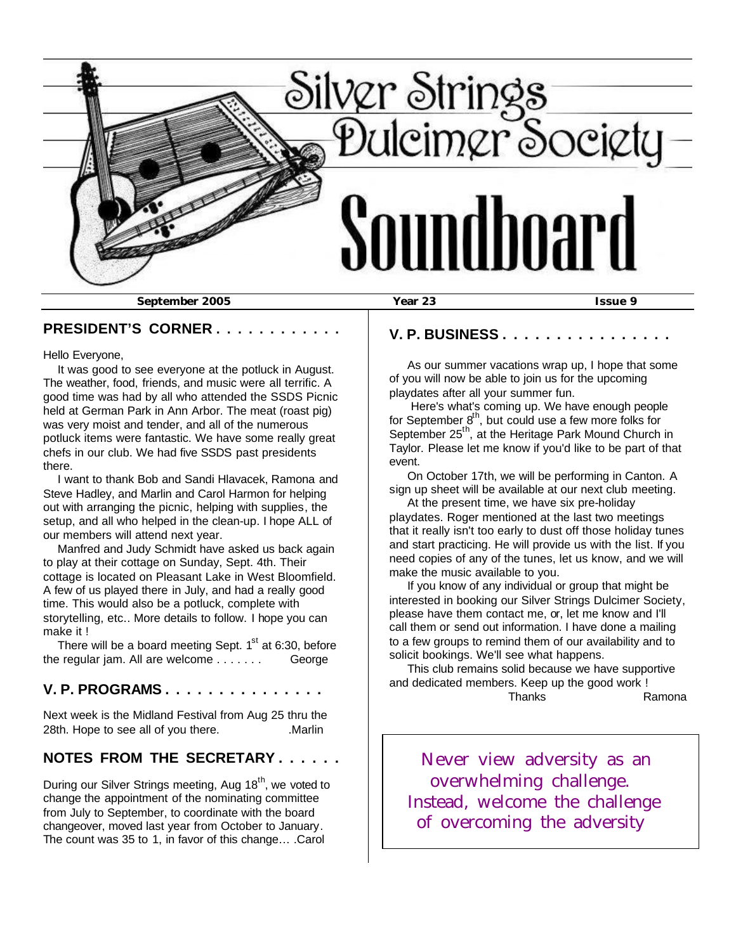

#### **PRESIDENT'S CORNER . . . . . . . . . . . .**

Hello Everyone,

 It was good to see everyone at the potluck in August. The weather, food, friends, and music were all terrific. A good time was had by all who attended the SSDS Picnic held at German Park in Ann Arbor. The meat (roast pig) was very moist and tender, and all of the numerous potluck items were fantastic. We have some really great chefs in our club. We had five SSDS past presidents there.

 I want to thank Bob and Sandi Hlavacek, Ramona and Steve Hadley, and Marlin and Carol Harmon for helping out with arranging the picnic, helping with supplies, the setup, and all who helped in the clean-up. I hope ALL of our members will attend next year.

 Manfred and Judy Schmidt have asked us back again to play at their cottage on Sunday, Sept. 4th. Their cottage is located on Pleasant Lake in West Bloomfield. A few of us played there in July, and had a really good time. This would also be a potluck, complete with storytelling, etc.. More details to follow. I hope you can make it !

There will be a board meeting Sept.  $1<sup>st</sup>$  at 6:30, before the regular jam. All are welcome . . . . . . . George

#### **V. P. PROGRAMS . . . . . . . . . . . . . . .**

Next week is the Midland Festival from Aug 25 thru the 28th. Hope to see all of you there. Marlin

### **NOTES FROM THE SECRETARY . . . . . .**

During our Silver Strings meeting, Aug 18<sup>th</sup>, we voted to change the appointment of the nominating committee from July to September, to coordinate with the board changeover, moved last year from October to January. The count was 35 to 1, in favor of this change… .Carol

**V. P. BUSINESS . . . . . . . . . . . . . . . .**

 As our summer vacations wrap up, I hope that some of you will now be able to join us for the upcoming playdates after all your summer fun.

 Here's what's coming up. We have enough people for September  $8^{th}$ , but could use a few more folks for September 25<sup>th</sup>, at the Heritage Park Mound Church in Taylor. Please let me know if you'd like to be part of that event.

 On October 17th, we will be performing in Canton. A sign up sheet will be available at our next club meeting.

 At the present time, we have six pre-holiday playdates. Roger mentioned at the last two meetings that it really isn't too early to dust off those holiday tunes and start practicing. He will provide us with the list. If you need copies of any of the tunes, let us know, and we will make the music available to you.

 If you know of any individual or group that might be interested in booking our Silver Strings Dulcimer Society, please have them contact me, or, let me know and I'll call them or send out information. I have done a mailing to a few groups to remind them of our availability and to solicit bookings. We'll see what happens.

 This club remains solid because we have supportive and dedicated members. Keep up the good work ! Thanks Ramona

 Never view adversity as an overwhelming challenge. Instead, welcome the challenge of overcoming the adversity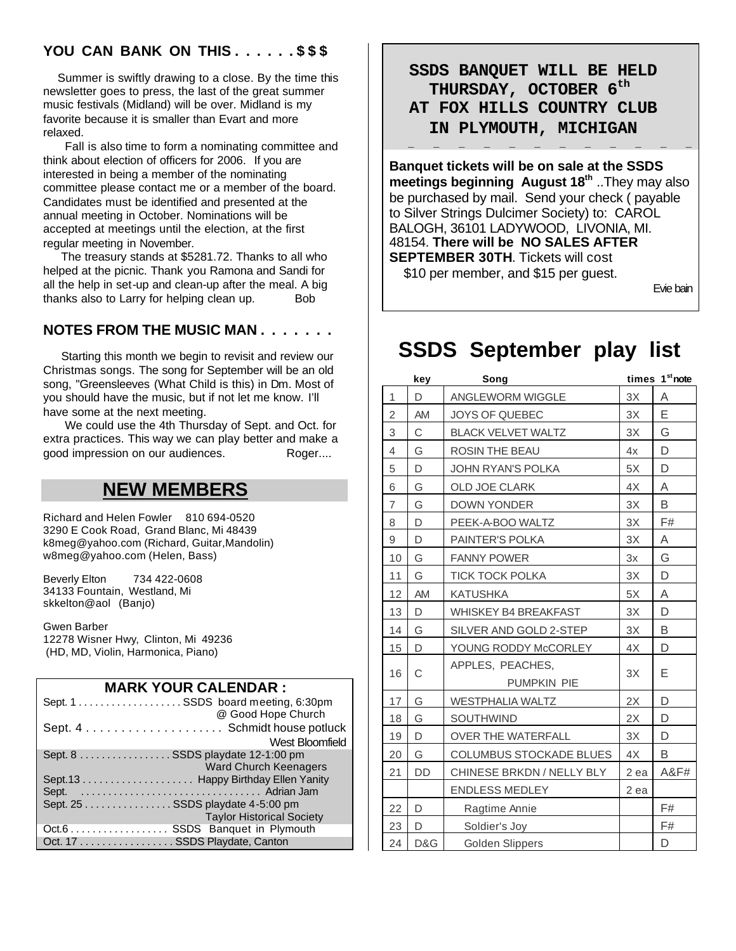### **YOU CAN BANK ON THIS . . . . . . \$ \$ \$**

 Summer is swiftly drawing to a close. By the time this newsletter goes to press, the last of the great summer music festivals (Midland) will be over. Midland is my favorite because it is smaller than Evart and more relaxed.

 Fall is also time to form a nominating committee and think about election of officers for 2006. If you are interested in being a member of the nominating committee please contact me or a member of the board. Candidates must be identified and presented at the annual meeting in October. Nominations will be accepted at meetings until the election, at the first regular meeting in November.

 The treasury stands at \$5281.72. Thanks to all who helped at the picnic. Thank you Ramona and Sandi for all the help in set-up and clean-up after the meal. A big thanks also to Larry for helping clean up. Bob

#### **NOTES FROM THE MUSIC MAN . . . . . . .**

 Starting this month we begin to revisit and review our Christmas songs. The song for September will be an old song, "Greensleeves (What Child is this) in Dm. Most of you should have the music, but if not let me know. I'll have some at the next meeting.

 We could use the 4th Thursday of Sept. and Oct. for extra practices. This way we can play better and make a good impression on our audiences. Roger....

## **NEW MEMBERS**

Richard and Helen Fowler 810 694-0520 3290 E Cook Road, Grand Blanc, Mi 48439 k8meg@yahoo.com (Richard, Guitar,Mandolin) w8meg@yahoo.com (Helen, Bass)

Beverly Elton 734 422-0608 34133 Fountain, Westland, Mi skkelton@aol (Banjo)

Gwen Barber 12278 Wisner Hwy, Clinton, Mi 49236 (HD, MD, Violin, Harmonica, Piano)

#### **MARK YOUR CALENDAR :**

| @ Good Hope Church               |
|----------------------------------|
|                                  |
| West Bloomfield                  |
| Sept. 8 SSDS playdate 12-1:00 pm |
| <b>Ward Church Keenagers</b>     |
|                                  |
|                                  |
| Sept. 25 SSDS playdate 4-5:00 pm |
| <b>Taylor Historical Society</b> |
| Oct.6 SSDS Banquet in Plymouth   |
| Oct. 17 SSDS Playdate, Canton    |

 **SSDS BANQUET WILL BE HELD THURSDAY, OCTOBER 6th AT FOX HILLS COUNTRY CLUB IN PLYMOUTH, MICHIGAN**

**Banquet tickets will be on sale at the SSDS meetings beginning August 18th** ..They may also be purchased by mail. Send your check ( payable to Silver Strings Dulcimer Society) to: CAROL BALOGH, 36101 LADYWOOD, LIVONIA, MI. 48154. **There will be NO SALES AFTER SEPTEMBER 30TH**. Tickets will cost

 **\_ \_ \_ \_ \_ \_ \_ \_ \_ \_ \_ \_**

\$10 per member, and \$15 per guest.

Evie bain

# **SSDS September play list**

|                | key       | Song                           |      | times 1 <sup>st</sup> note |
|----------------|-----------|--------------------------------|------|----------------------------|
| 1              | D         | <b>ANGLEWORM WIGGLE</b>        | 3X   | A                          |
| 2              | AM        | <b>JOYS OF QUEBEC</b>          | 3X   | Е                          |
| 3              | C         | <b>BLACK VELVET WALTZ</b>      | 3X   | G                          |
| $\overline{4}$ | G         | <b>ROSIN THE BEAU</b>          | 4x   | D                          |
| 5              | D         | <b>JOHN RYAN'S POLKA</b>       | 5X   | D                          |
| 6              | G         | <b>OLD JOE CLARK</b>           | 4X   | A                          |
| $\overline{7}$ | G         | <b>DOWN YONDER</b>             | 3X   | B                          |
| 8              | D         | PEEK-A-BOO WALTZ               | 3X   | F#                         |
| 9              | D         | PAINTER'S POLKA                | 3X   | Α                          |
| 10             | G         | <b>FANNY POWER</b>             | 3x   | G                          |
| 11             | G         | <b>TICK TOCK POLKA</b>         | 3X   | D                          |
| 12             | AM        | <b>KATUSHKA</b>                | 5X   | Α                          |
| 13             | D         | <b>WHISKEY B4 BREAKFAST</b>    | 3X   | D                          |
| 14             | G         | SILVER AND GOLD 2-STEP         | 3X   | B                          |
| 15             | D         | YOUNG RODDY McCORLEY           | 4X   | D                          |
| 16             | C         | APPLES, PEACHES,               | 3X   | Е                          |
|                |           | PUMPKIN PIE                    |      |                            |
| 17             | G         | <b>WESTPHALIA WALTZ</b>        | 2X   | D                          |
| 18             | G         | <b>SOUTHWIND</b>               | 2X   | D                          |
| 19             | D         | <b>OVER THE WATERFALL</b>      | 3X   | D                          |
| 20             | G         | <b>COLUMBUS STOCKADE BLUES</b> | 4X   | B                          |
| 21             | <b>DD</b> | CHINESE BRKDN / NELLY BLY      | 2 ea | A&F#                       |
|                |           | <b>ENDLESS MEDLEY</b>          | 2 ea |                            |
| 22             | D         | Ragtime Annie                  |      | F#                         |
| 23             | D         | Soldier's Joy                  |      | F#                         |
| 24             | D&G       | Golden Slippers                |      | D                          |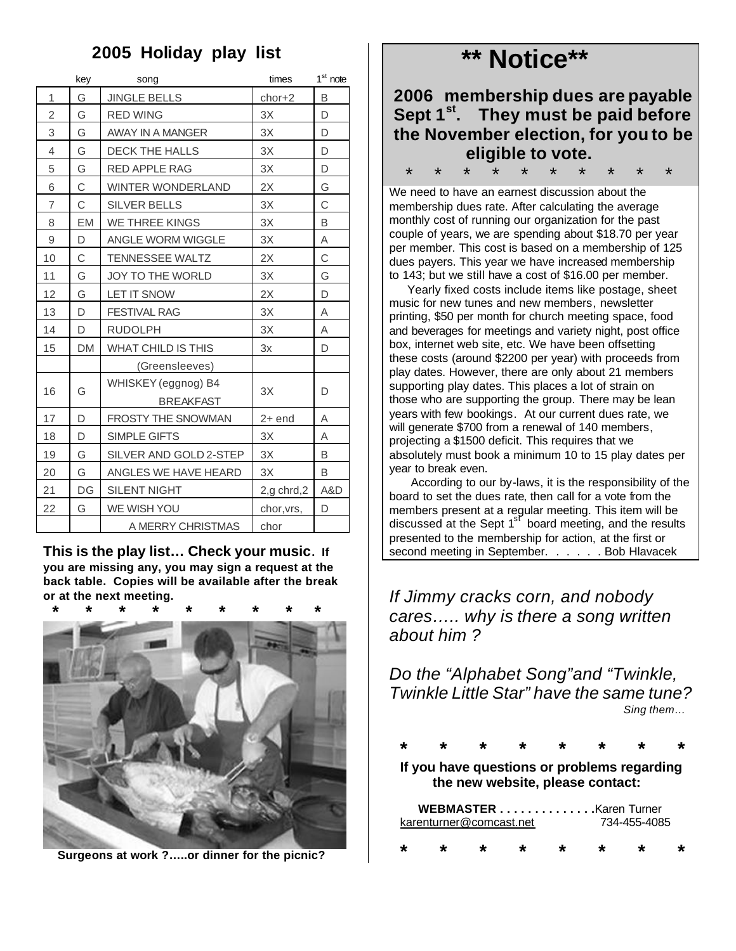# **2005 Holiday play list**

|                | key       | song                                    | times      | $1st$ note |
|----------------|-----------|-----------------------------------------|------------|------------|
| 1              | G         | <b>JINGLE BELLS</b>                     | chor+2     | B          |
| 2              | G         | <b>RED WING</b>                         | 3X         | D          |
| 3              | G         | AWAY IN A MANGER                        | 3X         | D          |
| 4              | G         | DECK THE HALLS                          | 3X         | D          |
| 5              | G         | <b>RED APPLE RAG</b>                    | 3X         | D          |
| 6              | C         | <b>WINTER WONDERLAND</b>                | 2X         | G          |
| $\overline{7}$ | C         | <b>SILVER BELLS</b>                     | 3X         | C          |
| 8              | <b>EM</b> | WE THREE KINGS                          | 3X         | B          |
| 9              | D         | ANGLE WORM WIGGLE                       | 3X         | Α          |
| 10             | C         | <b>TENNESSEE WALTZ</b>                  | 2X         | C          |
| 11             | G         | <b>JOY TO THE WORLD</b>                 | 3X         | G          |
| 12             | G         | <b>LET IT SNOW</b>                      | 2X         | D          |
| 13             | D         | <b>FESTIVAL RAG</b>                     | 3X         | Α          |
| 14             | D         | <b>RUDOLPH</b>                          | 3X         | A          |
| 15             | <b>DM</b> | WHAT CHILD IS THIS                      | 3x         | D          |
|                |           | (Greensleeves)                          |            |            |
| 16             | G         | WHISKEY (eggnog) B4<br><b>BREAKFAST</b> | 3X         | D          |
| 17             | D         | <b>FROSTY THE SNOWMAN</b>               | 2+ end     | Α          |
| 18             | D         | SIMPLE GIFTS                            | 3X         | A          |
| 19             | G         | SILVER AND GOLD 2-STEP                  | 3X         | B          |
| 20             | G         | ANGLES WE HAVE HEARD                    | 3X         | B          |
| 21             | DG        | <b>SILENT NIGHT</b>                     | 2,g chrd,2 | A&D        |
| 22             | G         | WE WISH YOU                             | chor, vrs, | D          |
|                |           | A MERRY CHRISTMAS                       | chor       |            |

**This is the play list… Check your music. If you are missing any, you may sign a request at the back table. Copies will be available after the break or at the next meeting.**



 **Surgeons at work ?…..or dinner for the picnic?**

# **\*\* Notice\*\***

| 2006 membership dues are payable                |  |  |  |
|-------------------------------------------------|--|--|--|
| Sept 1 <sup>st</sup> . They must be paid before |  |  |  |
| the November election, for you to be            |  |  |  |
| eligible to vote.                               |  |  |  |

We need to have an earnest discussion about the membership dues rate. After calculating the average monthly cost of running our organization for the past couple of years, we are spending about \$18.70 per year per member. This cost is based on a membership of 125 dues payers. This year we have increased membership to 143; but we still have a cost of \$16.00 per member.

\* \* \* \* \* \* \* \* \* \*

 Yearly fixed costs include items like postage, sheet music for new tunes and new members, newsletter printing, \$50 per month for church meeting space, food and beverages for meetings and variety night, post office box, internet web site, etc. We have been offsetting these costs (around \$2200 per year) with proceeds from play dates. However, there are only about 21 members supporting play dates. This places a lot of strain on those who are supporting the group. There may be lean years with few bookings. At our current dues rate, we will generate \$700 from a renewal of 140 members, projecting a \$1500 deficit. This requires that we absolutely must book a minimum 10 to 15 play dates per year to break even.

 According to our by-laws, it is the responsibility of the board to set the dues rate, then call for a vote from the members present at a regular meeting. This item will be discussed at the Sept  $1<sup>st</sup>$  board meeting, and the results presented to the membership for action, at the first or second meeting in September. . . . . . Bob Hlavacek

*If Jimmy cracks corn, and nobody cares….. why is there a song written about him ?*

*Do the "Alphabet Song"and "Twinkle, Twinkle Little Star" have the same tune? Sing them…*

 **\* \* \* \* \* \* \* \*** 

 **If you have questions or problems regarding the new website, please contact:**

| <b>WEBMASTER</b> Karen Turner |                         |         |         |    |    |              |  |
|-------------------------------|-------------------------|---------|---------|----|----|--------------|--|
|                               | karenturner@comcast.net |         |         |    |    | 734-455-4085 |  |
| $\star$                       | $\star$                 | $\star$ | $\star$ | ∗. | ∗. | *            |  |